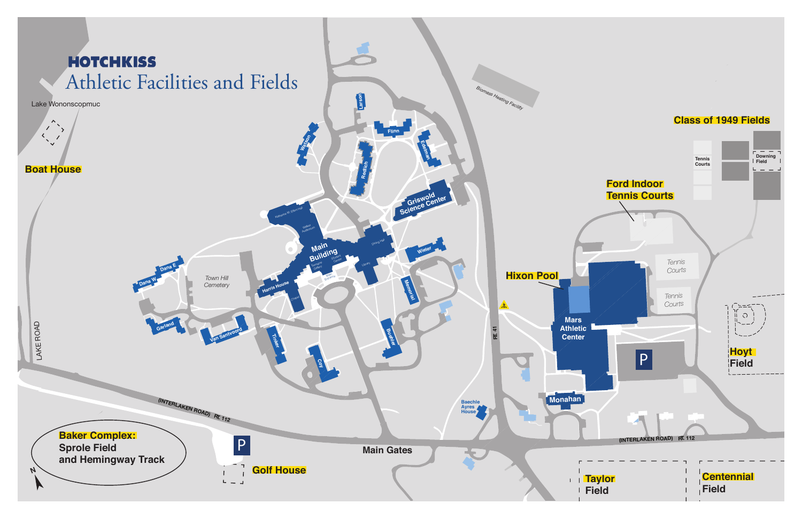